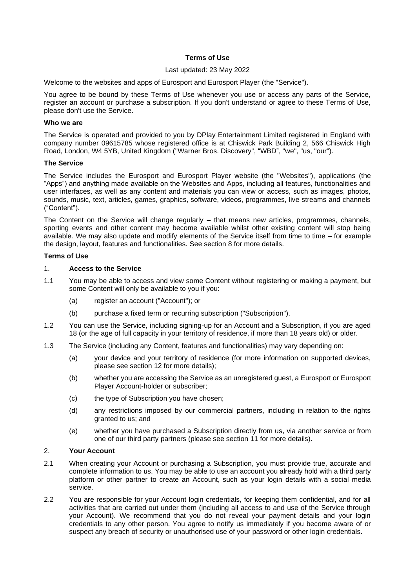## **Terms of Use**

### Last updated: 23 May 2022

Welcome to the websites and apps of Eurosport and Eurosport Player (the "Service").

You agree to be bound by these Terms of Use whenever you use or access any parts of the Service, register an account or purchase a subscription. If you don't understand or agree to these Terms of Use, please don't use the Service.

#### **Who we are**

The Service is operated and provided to you by DPlay Entertainment Limited registered in England with company number 09615785 whose registered office is at Chiswick Park Building 2, 566 Chiswick High Road, London, W4 5YB, United Kingdom ("Warner Bros. Discovery", "WBD", "we", "us, "our").

### **The Service**

The Service includes the Eurosport and Eurosport Player website (the "Websites"), applications (the "Apps") and anything made available on the Websites and Apps, including all features, functionalities and user interfaces, as well as any content and materials you can view or access, such as images, photos, sounds, music, text, articles, games, graphics, software, videos, programmes, live streams and channels ("Content").

The Content on the Service will change regularly – that means new articles, programmes, channels, sporting events and other content may become available whilst other existing content will stop being available. We may also update and modify elements of the Service itself from time to time – for example the design, layout, features and functionalities. See section 8 for more details.

### **Terms of Use**

#### 1. **Access to the Service**

- 1.1 You may be able to access and view some Content without registering or making a payment, but some Content will only be available to you if you:
	- (a) register an account ("Account"); or
	- (b) purchase a fixed term or recurring subscription ("Subscription").
- 1.2 You can use the Service, including signing-up for an Account and a Subscription, if you are aged 18 (or the age of full capacity in your territory of residence, if more than 18 years old) or older.
- 1.3 The Service (including any Content, features and functionalities) may vary depending on:
	- (a) your device and your territory of residence (for more information on supported devices, please see section 12 for more details);
	- (b) whether you are accessing the Service as an unregistered guest, a Eurosport or Eurosport Player Account-holder or subscriber;
	- (c) the type of Subscription you have chosen;
	- (d) any restrictions imposed by our commercial partners, including in relation to the rights granted to us; and
	- (e) whether you have purchased a Subscription directly from us, via another service or from one of our third party partners (please see section 11 for more details).

#### 2. **Your Account**

- 2.1 When creating your Account or purchasing a Subscription, you must provide true, accurate and complete information to us. You may be able to use an account you already hold with a third party platform or other partner to create an Account, such as your login details with a social media service.
- 2.2 You are responsible for your Account login credentials, for keeping them confidential, and for all activities that are carried out under them (including all access to and use of the Service through your Account). We recommend that you do not reveal your payment details and your login credentials to any other person. You agree to notify us immediately if you become aware of or suspect any breach of security or unauthorised use of your password or other login credentials.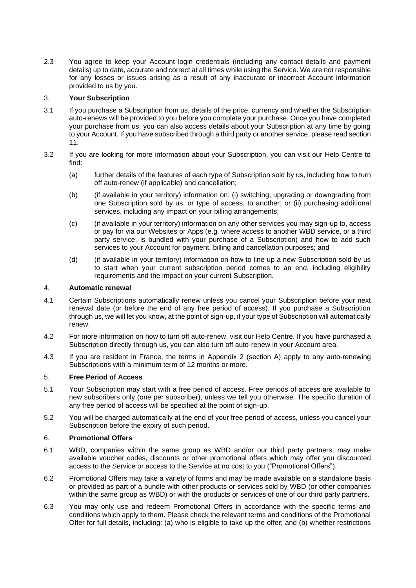2.3 You agree to keep your Account login credentials (including any contact details and payment details) up to date, accurate and correct at all times while using the Service. We are not responsible for any losses or issues arising as a result of any inaccurate or incorrect Account information provided to us by you.

# 3. **Your Subscription**

- 3.1 If you purchase a Subscription from us, details of the price, currency and whether the Subscription auto-renews will be provided to you before you complete your purchase. Once you have completed your purchase from us, you can also access details about your Subscription at any time by going to your Account. If you have subscribed through a third party or another service, please read section 11.
- 3.2 If you are looking for more information about your Subscription, you can visit our Help Centre to find:
	- (a) further details of the features of each type of Subscription sold by us, including how to turn off auto-renew (if applicable) and cancellation;
	- (b) (if available in your territory) information on: (i) switching, upgrading or downgrading from one Subscription sold by us, or type of access, to another; or (ii) purchasing additional services, including any impact on your billing arrangements;
	- (c) (if available in your territory) information on any other services you may sign-up to, access or pay for via our Websites or Apps (e.g. where access to another WBD service, or a third party service, is bundled with your purchase of a Subscription) and how to add such services to your Account for payment, billing and cancellation purposes; and
	- (d) (if available in your territory) information on how to line up a new Subscription sold by us to start when your current subscription period comes to an end, including eligibility requirements and the impact on your current Subscription.

## 4. **Automatic renewal**

- 4.1 Certain Subscriptions automatically renew unless you cancel your Subscription before your next renewal date (or before the end of any free period of access). If you purchase a Subscription through us, we will let you know, at the point of sign-up, if your type of Subscription will automatically renew.
- 4.2 For more information on how to turn off auto-renew, visit our Help Centre. If you have purchased a Subscription directly through us, you can also turn off auto-renew in your Account area.
- 4.3 If you are resident in France, the terms in Appendix 2 (section A) apply to any auto-renewing Subscriptions with a minimum term of 12 months or more.

## 5. **Free Period of Access**

- 5.1 Your Subscription may start with a free period of access. Free periods of access are available to new subscribers only (one per subscriber), unless we tell you otherwise. The specific duration of any free period of access will be specified at the point of sign-up.
- 5.2 You will be charged automatically at the end of your free period of access, unless you cancel your Subscription before the expiry of such period.

## 6. **Promotional Offers**

- 6.1 WBD, companies within the same group as WBD and/or our third party partners, may make available voucher codes, discounts or other promotional offers which may offer you discounted access to the Service or access to the Service at no cost to you ("Promotional Offers").
- 6.2 Promotional Offers may take a variety of forms and may be made available on a standalone basis or provided as part of a bundle with other products or services sold by WBD (or other companies within the same group as WBD) or with the products or services of one of our third party partners.
- 6.3 You may only use and redeem Promotional Offers in accordance with the specific terms and conditions which apply to them. Please check the relevant terms and conditions of the Promotional Offer for full details, including: (a) who is eligible to take up the offer; and (b) whether restrictions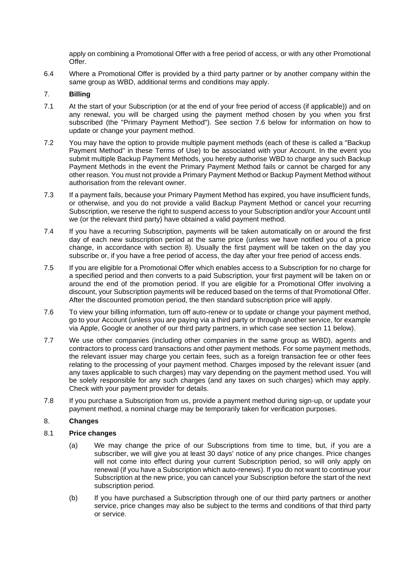apply on combining a Promotional Offer with a free period of access, or with any other Promotional Offer.

6.4 Where a Promotional Offer is provided by a third party partner or by another company within the same group as WBD, additional terms and conditions may apply.

### 7. **Billing**

- 7.1 At the start of your Subscription (or at the end of your free period of access (if applicable)) and on any renewal, you will be charged using the payment method chosen by you when you first subscribed (the "Primary Payment Method"). See section 7.6 below for information on how to update or change your payment method.
- 7.2 You may have the option to provide multiple payment methods (each of these is called a "Backup Payment Method" in these Terms of Use) to be associated with your Account. In the event you submit multiple Backup Payment Methods, you hereby authorise WBD to charge any such Backup Payment Methods in the event the Primary Payment Method fails or cannot be charged for any other reason. You must not provide a Primary Payment Method or Backup Payment Method without authorisation from the relevant owner.
- 7.3 If a payment fails, because your Primary Payment Method has expired, you have insufficient funds, or otherwise, and you do not provide a valid Backup Payment Method or cancel your recurring Subscription, we reserve the right to suspend access to your Subscription and/or your Account until we (or the relevant third party) have obtained a valid payment method.
- 7.4 If you have a recurring Subscription, payments will be taken automatically on or around the first day of each new subscription period at the same price (unless we have notified you of a price change, in accordance with section 8). Usually the first payment will be taken on the day you subscribe or, if you have a free period of access, the day after your free period of access ends.
- 7.5 If you are eligible for a Promotional Offer which enables access to a Subscription for no charge for a specified period and then converts to a paid Subscription, your first payment will be taken on or around the end of the promotion period. If you are eligible for a Promotional Offer involving a discount, your Subscription payments will be reduced based on the terms of that Promotional Offer. After the discounted promotion period, the then standard subscription price will apply.
- 7.6 To view your billing information, turn off auto-renew or to update or change your payment method, go to your Account (unless you are paying via a third party or through another service, for example via Apple, Google or another of our third party partners, in which case see section 11 below).
- 7.7 We use other companies (including other companies in the same group as WBD), agents and contractors to process card transactions and other payment methods. For some payment methods, the relevant issuer may charge you certain fees, such as a foreign transaction fee or other fees relating to the processing of your payment method. Charges imposed by the relevant issuer (and any taxes applicable to such charges) may vary depending on the payment method used. You will be solely responsible for any such charges (and any taxes on such charges) which may apply. Check with your payment provider for details.
- 7.8 If you purchase a Subscription from us, provide a payment method during sign-up, or update your payment method, a nominal charge may be temporarily taken for verification purposes.

## 8. **Changes**

#### 8.1 **Price changes**

- (a) We may change the price of our Subscriptions from time to time, but, if you are a subscriber, we will give you at least 30 days' notice of any price changes. Price changes will not come into effect during your current Subscription period, so will only apply on renewal (if you have a Subscription which auto-renews). If you do not want to continue your Subscription at the new price, you can cancel your Subscription before the start of the next subscription period.
- (b) If you have purchased a Subscription through one of our third party partners or another service, price changes may also be subject to the terms and conditions of that third party or service.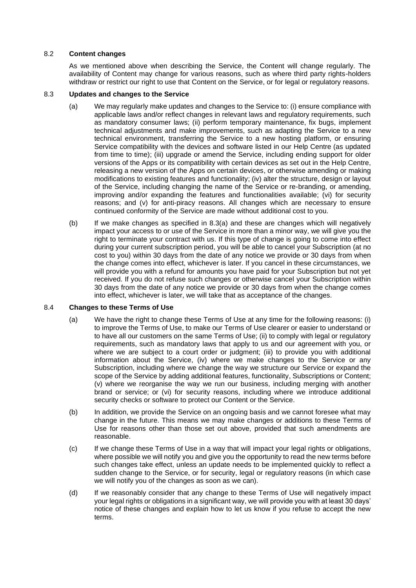## 8.2 **Content changes**

As we mentioned above when describing the Service, the Content will change regularly. The availability of Content may change for various reasons, such as where third party rights-holders withdraw or restrict our right to use that Content on the Service, or for legal or regulatory reasons.

### 8.3 **Updates and changes to the Service**

- (a) We may regularly make updates and changes to the Service to: (i) ensure compliance with applicable laws and/or reflect changes in relevant laws and regulatory requirements, such as mandatory consumer laws; (ii) perform temporary maintenance, fix bugs, implement technical adjustments and make improvements, such as adapting the Service to a new technical environment, transferring the Service to a new hosting platform, or ensuring Service compatibility with the devices and software listed in our Help Centre (as updated from time to time); (iii) upgrade or amend the Service, including ending support for older versions of the Apps or its compatibility with certain devices as set out in the Help Centre, releasing a new version of the Apps on certain devices, or otherwise amending or making modifications to existing features and functionality; (iv) alter the structure, design or layout of the Service, including changing the name of the Service or re-branding, or amending, improving and/or expanding the features and functionalities available; (vi) for security reasons; and (v) for anti-piracy reasons. All changes which are necessary to ensure continued conformity of the Service are made without additional cost to you.
- (b) If we make changes as specified in 8.3(a) and these are changes which will negatively impact your access to or use of the Service in more than a minor way, we will give you the right to terminate your contract with us. If this type of change is going to come into effect during your current subscription period, you will be able to cancel your Subscription (at no cost to you) within 30 days from the date of any notice we provide or 30 days from when the change comes into effect, whichever is later. If you cancel in these circumstances, we will provide you with a refund for amounts you have paid for your Subscription but not yet received. If you do not refuse such changes or otherwise cancel your Subscription within 30 days from the date of any notice we provide or 30 days from when the change comes into effect, whichever is later, we will take that as acceptance of the changes.

#### 8.4 **Changes to these Terms of Use**

- (a) We have the right to change these Terms of Use at any time for the following reasons: (i) to improve the Terms of Use, to make our Terms of Use clearer or easier to understand or to have all our customers on the same Terms of Use; (ii) to comply with legal or regulatory requirements, such as mandatory laws that apply to us and our agreement with you, or where we are subject to a court order or judgment; (iii) to provide you with additional information about the Service, (iv) where we make changes to the Service or any Subscription, including where we change the way we structure our Service or expand the scope of the Service by adding additional features, functionality, Subscriptions or Content; (v) where we reorganise the way we run our business, including merging with another brand or service; or (vi) for security reasons, including where we introduce additional security checks or software to protect our Content or the Service.
- (b) In addition, we provide the Service on an ongoing basis and we cannot foresee what may change in the future. This means we may make changes or additions to these Terms of Use for reasons other than those set out above, provided that such amendments are reasonable.
- (c) If we change these Terms of Use in a way that will impact your legal rights or obligations, where possible we will notify you and give you the opportunity to read the new terms before such changes take effect, unless an update needs to be implemented quickly to reflect a sudden change to the Service, or for security, legal or regulatory reasons (in which case we will notify you of the changes as soon as we can).
- (d) If we reasonably consider that any change to these Terms of Use will negatively impact your legal rights or obligations in a significant way, we will provide you with at least 30 days' notice of these changes and explain how to let us know if you refuse to accept the new terms.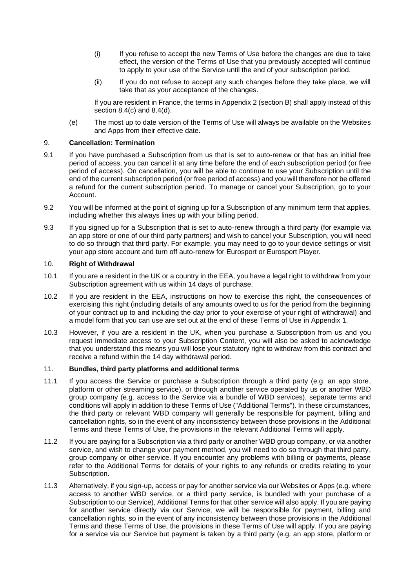- (i) If you refuse to accept the new Terms of Use before the changes are due to take effect, the version of the Terms of Use that you previously accepted will continue to apply to your use of the Service until the end of your subscription period.
- (ii) If you do not refuse to accept any such changes before they take place, we will take that as your acceptance of the changes.

If you are resident in France, the terms in Appendix 2 (section B) shall apply instead of this section 8.4(c) and 8.4(d).

(e) The most up to date version of the Terms of Use will always be available on the Websites and Apps from their effective date.

## 9. **Cancellation: Termination**

- 9.1 If you have purchased a Subscription from us that is set to auto-renew or that has an initial free period of access, you can cancel it at any time before the end of each subscription period (or free period of access). On cancellation, you will be able to continue to use your Subscription until the end of the current subscription period (or free period of access) and you will therefore not be offered a refund for the current subscription period. To manage or cancel your Subscription, go to your Account.
- 9.2 You will be informed at the point of signing up for a Subscription of any minimum term that applies, including whether this always lines up with your billing period.
- 9.3 If you signed up for a Subscription that is set to auto-renew through a third party (for example via an app store or one of our third party partners) and wish to cancel your Subscription, you will need to do so through that third party. For example, you may need to go to your device settings or visit your app store account and turn off auto-renew for Eurosport or Eurosport Player.

#### 10. **Right of Withdrawal**

- 10.1 If you are a resident in the UK or a country in the EEA, you have a legal right to withdraw from your Subscription agreement with us within 14 days of purchase.
- 10.2 If you are resident in the EEA, instructions on how to exercise this right, the consequences of exercising this right (including details of any amounts owed to us for the period from the beginning of your contract up to and including the day prior to your exercise of your right of withdrawal) and a model form that you can use are set out at the end of these Terms of Use in Appendix 1.
- 10.3 However, if you are a resident in the UK, when you purchase a Subscription from us and you request immediate access to your Subscription Content, you will also be asked to acknowledge that you understand this means you will lose your statutory right to withdraw from this contract and receive a refund within the 14 day withdrawal period.

#### 11. **Bundles, third party platforms and additional terms**

- 11.1 If you access the Service or purchase a Subscription through a third party (e.g. an app store, platform or other streaming service), or through another service operated by us or another WBD group company (e.g. access to the Service via a bundle of WBD services), separate terms and conditions will apply in addition to these Terms of Use ("Additional Terms"). In these circumstances, the third party or relevant WBD company will generally be responsible for payment, billing and cancellation rights, so in the event of any inconsistency between those provisions in the Additional Terms and these Terms of Use, the provisions in the relevant Additional Terms will apply.
- 11.2 If you are paying for a Subscription via a third party or another WBD group company, or via another service, and wish to change your payment method, you will need to do so through that third party, group company or other service. If you encounter any problems with billing or payments, please refer to the Additional Terms for details of your rights to any refunds or credits relating to your Subscription.
- 11.3 Alternatively, if you sign-up, access or pay for another service via our Websites or Apps (e.g. where access to another WBD service, or a third party service, is bundled with your purchase of a Subscription to our Service), Additional Terms for that other service will also apply. If you are paying for another service directly via our Service, we will be responsible for payment, billing and cancellation rights, so in the event of any inconsistency between those provisions in the Additional Terms and these Terms of Use, the provisions in these Terms of Use will apply. If you are paying for a service via our Service but payment is taken by a third party (e.g. an app store, platform or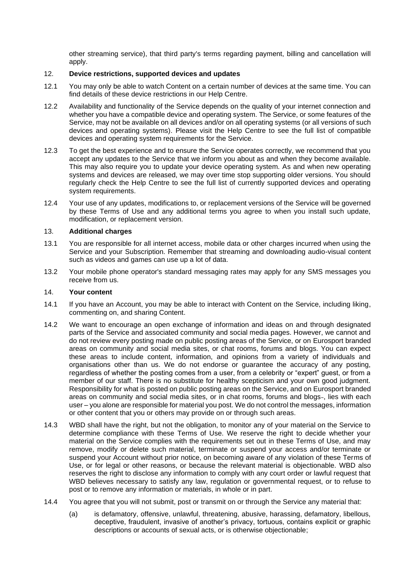other streaming service), that third party's terms regarding payment, billing and cancellation will apply.

# 12. **Device restrictions, supported devices and updates**

- 12.1 You may only be able to watch Content on a certain number of devices at the same time. You can find details of these device restrictions in our Help Centre.
- 12.2 Availability and functionality of the Service depends on the quality of your internet connection and whether you have a compatible device and operating system. The Service, or some features of the Service, may not be available on all devices and/or on all operating systems (or all versions of such devices and operating systems). Please visit the Help Centre to see the full list of compatible devices and operating system requirements for the Service.
- 12.3 To get the best experience and to ensure the Service operates correctly, we recommend that you accept any updates to the Service that we inform you about as and when they become available. This may also require you to update your device operating system. As and when new operating systems and devices are released, we may over time stop supporting older versions. You should regularly check the Help Centre to see the full list of currently supported devices and operating system requirements.
- 12.4 Your use of any updates, modifications to, or replacement versions of the Service will be governed by these Terms of Use and any additional terms you agree to when you install such update, modification, or replacement version.

### 13. **Additional charges**

- 13.1 You are responsible for all internet access, mobile data or other charges incurred when using the Service and your Subscription. Remember that streaming and downloading audio-visual content such as videos and games can use up a lot of data.
- 13.2 Your mobile phone operator's standard messaging rates may apply for any SMS messages you receive from us.

#### 14. **Your content**

- 14.1 If you have an Account, you may be able to interact with Content on the Service, including liking, commenting on, and sharing Content.
- 14.2 We want to encourage an open exchange of information and ideas on and through designated parts of the Service and associated community and social media pages. However, we cannot and do not review every posting made on public posting areas of the Service, or on Eurosport branded areas on community and social media sites, or chat rooms, forums and blogs. You can expect these areas to include content, information, and opinions from a variety of individuals and organisations other than us. We do not endorse or guarantee the accuracy of any posting, regardless of whether the posting comes from a user, from a celebrity or "expert" guest, or from a member of our staff. There is no substitute for healthy scepticism and your own good judgment. Responsibility for what is posted on public posting areas on the Service, and on Eurosport branded areas on community and social media sites, or in chat rooms, forums and blogs-, lies with each user – you alone are responsible for material you post. We do not control the messages, information or other content that you or others may provide on or through such areas.
- 14.3 WBD shall have the right, but not the obligation, to monitor any of your material on the Service to determine compliance with these Terms of Use. We reserve the right to decide whether your material on the Service complies with the requirements set out in these Terms of Use, and may remove, modify or delete such material, terminate or suspend your access and/or terminate or suspend your Account without prior notice, on becoming aware of any violation of these Terms of Use, or for legal or other reasons, or because the relevant material is objectionable. WBD also reserves the right to disclose any information to comply with any court order or lawful request that WBD believes necessary to satisfy any law, regulation or governmental request, or to refuse to post or to remove any information or materials, in whole or in part.
- 14.4 You agree that you will not submit, post or transmit on or through the Service any material that:
	- (a) is defamatory, offensive, unlawful, threatening, abusive, harassing, defamatory, libellous, deceptive, fraudulent, invasive of another's privacy, tortuous, contains explicit or graphic descriptions or accounts of sexual acts, or is otherwise objectionable;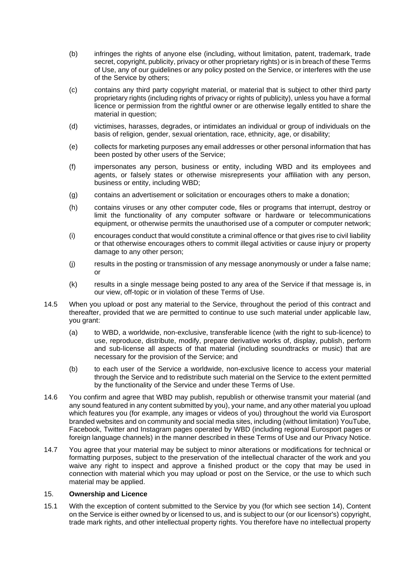- (b) infringes the rights of anyone else (including, without limitation, patent, trademark, trade secret, copyright, publicity, privacy or other proprietary rights) or is in breach of these Terms of Use, any of our guidelines or any policy posted on the Service, or interferes with the use of the Service by others;
- (c) contains any third party copyright material, or material that is subject to other third party proprietary rights (including rights of privacy or rights of publicity), unless you have a formal licence or permission from the rightful owner or are otherwise legally entitled to share the material in question;
- (d) victimises, harasses, degrades, or intimidates an individual or group of individuals on the basis of religion, gender, sexual orientation, race, ethnicity, age, or disability;
- (e) collects for marketing purposes any email addresses or other personal information that has been posted by other users of the Service;
- (f) impersonates any person, business or entity, including WBD and its employees and agents, or falsely states or otherwise misrepresents your affiliation with any person, business or entity, including WBD;
- (g) contains an advertisement or solicitation or encourages others to make a donation;
- (h) contains viruses or any other computer code, files or programs that interrupt, destroy or limit the functionality of any computer software or hardware or telecommunications equipment, or otherwise permits the unauthorised use of a computer or computer network;
- (i) encourages conduct that would constitute a criminal offence or that gives rise to civil liability or that otherwise encourages others to commit illegal activities or cause injury or property damage to any other person;
- (j) results in the posting or transmission of any message anonymously or under a false name; or
- (k) results in a single message being posted to any area of the Service if that message is, in our view, off-topic or in violation of these Terms of Use.
- 14.5 When you upload or post any material to the Service, throughout the period of this contract and thereafter, provided that we are permitted to continue to use such material under applicable law, you grant:
	- (a) to WBD, a worldwide, non-exclusive, transferable licence (with the right to sub-licence) to use, reproduce, distribute, modify, prepare derivative works of, display, publish, perform and sub-license all aspects of that material (including soundtracks or music) that are necessary for the provision of the Service; and
	- (b) to each user of the Service a worldwide, non-exclusive licence to access your material through the Service and to redistribute such material on the Service to the extent permitted by the functionality of the Service and under these Terms of Use.
- 14.6 You confirm and agree that WBD may publish, republish or otherwise transmit your material (and any sound featured in any content submitted by you), your name, and any other material you upload which features you (for example, any images or videos of you) throughout the world via Eurosport branded websites and on community and social media sites, including (without limitation) YouTube, Facebook, Twitter and Instagram pages operated by WBD (including regional Eurosport pages or foreign language channels) in the manner described in these Terms of Use and our Privacy Notice.
- 14.7 You agree that your material may be subject to minor alterations or modifications for technical or formatting purposes, subject to the preservation of the intellectual character of the work and you waive any right to inspect and approve a finished product or the copy that may be used in connection with material which you may upload or post on the Service, or the use to which such material may be applied.

#### 15. **Ownership and Licence**

15.1 With the exception of content submitted to the Service by you (for which see section 14), Content on the Service is either owned by or licensed to us, and is subject to our (or our licensor's) copyright, trade mark rights, and other intellectual property rights. You therefore have no intellectual property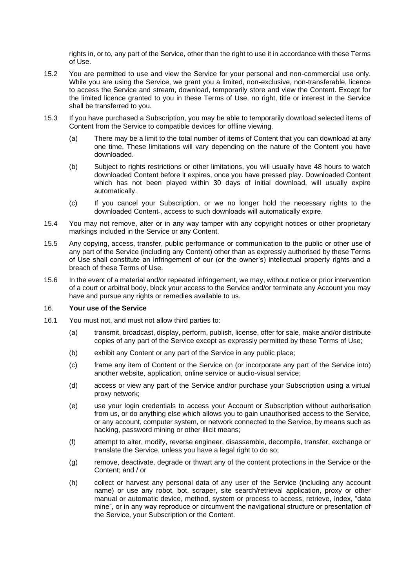rights in, or to, any part of the Service, other than the right to use it in accordance with these Terms of Use.

- 15.2 You are permitted to use and view the Service for your personal and non-commercial use only. While you are using the Service, we grant you a limited, non-exclusive, non-transferable, licence to access the Service and stream, download, temporarily store and view the Content. Except for the limited licence granted to you in these Terms of Use, no right, title or interest in the Service shall be transferred to you.
- 15.3 If you have purchased a Subscription, you may be able to temporarily download selected items of Content from the Service to compatible devices for offline viewing.
	- (a) There may be a limit to the total number of items of Content that you can download at any one time. These limitations will vary depending on the nature of the Content you have downloaded.
	- (b) Subject to rights restrictions or other limitations, you will usually have 48 hours to watch downloaded Content before it expires, once you have pressed play. Downloaded Content which has not been played within 30 days of initial download, will usually expire automatically.
	- (c) If you cancel your Subscription, or we no longer hold the necessary rights to the downloaded Content-, access to such downloads will automatically expire.
- 15.4 You may not remove, alter or in any way tamper with any copyright notices or other proprietary markings included in the Service or any Content.
- 15.5 Any copying, access, transfer, public performance or communication to the public or other use of any part of the Service (including any Content) other than as expressly authorised by these Terms of Use shall constitute an infringement of our (or the owner's) intellectual property rights and a breach of these Terms of Use.
- 15.6 In the event of a material and/or repeated infringement, we may, without notice or prior intervention of a court or arbitral body, block your access to the Service and/or terminate any Account you may have and pursue any rights or remedies available to us.

#### 16. **Your use of the Service**

- 16.1 You must not, and must not allow third parties to:
	- (a) transmit, broadcast, display, perform, publish, license, offer for sale, make and/or distribute copies of any part of the Service except as expressly permitted by these Terms of Use;
	- (b) exhibit any Content or any part of the Service in any public place;
	- (c) frame any item of Content or the Service on (or incorporate any part of the Service into) another website, application, online service or audio-visual service;
	- (d) access or view any part of the Service and/or purchase your Subscription using a virtual proxy network;
	- (e) use your login credentials to access your Account or Subscription without authorisation from us, or do anything else which allows you to gain unauthorised access to the Service, or any account, computer system, or network connected to the Service, by means such as hacking, password mining or other illicit means;
	- (f) attempt to alter, modify, reverse engineer, disassemble, decompile, transfer, exchange or translate the Service, unless you have a legal right to do so;
	- (g) remove, deactivate, degrade or thwart any of the content protections in the Service or the Content; and / or
	- (h) collect or harvest any personal data of any user of the Service (including any account name) or use any robot, bot, scraper, site search/retrieval application, proxy or other manual or automatic device, method, system or process to access, retrieve, index, "data mine", or in any way reproduce or circumvent the navigational structure or presentation of the Service, your Subscription or the Content.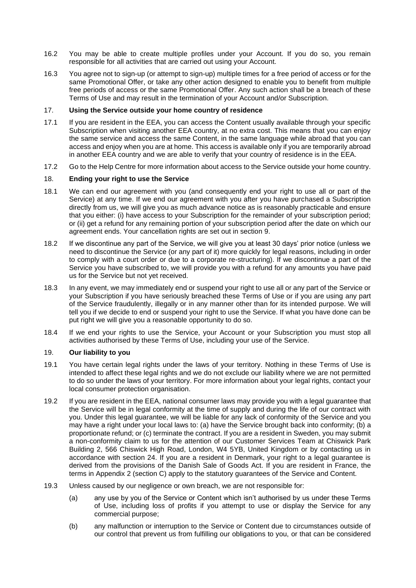- 16.2 You may be able to create multiple profiles under your Account. If you do so, you remain responsible for all activities that are carried out using your Account.
- 16.3 You agree not to sign-up (or attempt to sign-up) multiple times for a free period of access or for the same Promotional Offer, or take any other action designed to enable you to benefit from multiple free periods of access or the same Promotional Offer. Any such action shall be a breach of these Terms of Use and may result in the termination of your Account and/or Subscription.

#### 17. **Using the Service outside your home country of residence**

- 17.1 If you are resident in the EEA, you can access the Content usually available through your specific Subscription when visiting another EEA country, at no extra cost. This means that you can enjoy the same service and access the same Content, in the same language while abroad that you can access and enjoy when you are at home. This access is available only if you are temporarily abroad in another EEA country and we are able to verify that your country of residence is in the EEA.
- 17.2 Go to the Help Centre for more information about access to the Service outside your home country.

### 18. **Ending your right to use the Service**

- 18.1 We can end our agreement with you (and consequently end your right to use all or part of the Service) at any time. If we end our agreement with you after you have purchased a Subscription directly from us, we will give you as much advance notice as is reasonably practicable and ensure that you either: (i) have access to your Subscription for the remainder of your subscription period; or (ii) get a refund for any remaining portion of your subscription period after the date on which our agreement ends. Your cancellation rights are set out in section 9.
- 18.2 If we discontinue any part of the Service, we will give you at least 30 days' prior notice (unless we need to discontinue the Service (or any part of it) more quickly for legal reasons, including in order to comply with a court order or due to a corporate re-structuring). If we discontinue a part of the Service you have subscribed to, we will provide you with a refund for any amounts you have paid us for the Service but not yet received.
- 18.3 In any event, we may immediately end or suspend your right to use all or any part of the Service or your Subscription if you have seriously breached these Terms of Use or if you are using any part of the Service fraudulently, illegally or in any manner other than for its intended purpose. We will tell you if we decide to end or suspend your right to use the Service. If what you have done can be put right we will give you a reasonable opportunity to do so.
- 18.4 If we end your rights to use the Service, your Account or your Subscription you must stop all activities authorised by these Terms of Use, including your use of the Service.

#### 19. **Our liability to you**

- 19.1 You have certain legal rights under the laws of your territory. Nothing in these Terms of Use is intended to affect these legal rights and we do not exclude our liability where we are not permitted to do so under the laws of your territory. For more information about your legal rights, contact your local consumer protection organisation.
- 19.2 If you are resident in the EEA, national consumer laws may provide you with a legal guarantee that the Service will be in legal conformity at the time of supply and during the life of our contract with you. Under this legal guarantee, we will be liable for any lack of conformity of the Service and you may have a right under your local laws to: (a) have the Service brought back into conformity; (b) a proportionate refund; or (c) terminate the contract. If you are a resident in Sweden, you may submit a non-conformity claim to us for the attention of our Customer Services Team at Chiswick Park Building 2, 566 Chiswick High Road, London, W4 5YB, United Kingdom or by contacting us in accordance with section 24. If you are a resident in Denmark, your right to a legal guarantee is derived from the provisions of the Danish Sale of Goods Act. If you are resident in France, the terms in Appendix 2 (section C) apply to the statutory guarantees of the Service and Content.
- 19.3 Unless caused by our negligence or own breach, we are not responsible for:
	- (a) any use by you of the Service or Content which isn't authorised by us under these Terms of Use, including loss of profits if you attempt to use or display the Service for any commercial purpose;
	- (b) any malfunction or interruption to the Service or Content due to circumstances outside of our control that prevent us from fulfilling our obligations to you, or that can be considered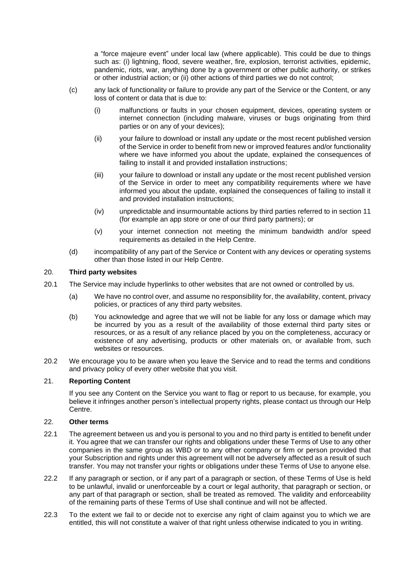a "force majeure event" under local law (where applicable). This could be due to things such as: (i) lightning, flood, severe weather, fire, explosion, terrorist activities, epidemic, pandemic, riots, war, anything done by a government or other public authority, or strikes or other industrial action; or (ii) other actions of third parties we do not control;

- (c) any lack of functionality or failure to provide any part of the Service or the Content, or any loss of content or data that is due to:
	- (i) malfunctions or faults in your chosen equipment, devices, operating system or internet connection (including malware, viruses or bugs originating from third parties or on any of your devices);
	- (ii) your failure to download or install any update or the most recent published version of the Service in order to benefit from new or improved features and/or functionality where we have informed you about the update, explained the consequences of failing to install it and provided installation instructions;
	- (iii) your failure to download or install any update or the most recent published version of the Service in order to meet any compatibility requirements where we have informed you about the update, explained the consequences of failing to install it and provided installation instructions;
	- (iv) unpredictable and insurmountable actions by third parties referred to in section 11 (for example an app store or one of our third party partners); or
	- (v) your internet connection not meeting the minimum bandwidth and/or speed requirements as detailed in the Help Centre.
- (d) incompatibility of any part of the Service or Content with any devices or operating systems other than those listed in our Help Centre.

### 20. **Third party websites**

- 20.1 The Service may include hyperlinks to other websites that are not owned or controlled by us.
	- (a) We have no control over, and assume no responsibility for, the availability, content, privacy policies, or practices of any third party websites.
	- (b) You acknowledge and agree that we will not be liable for any loss or damage which may be incurred by you as a result of the availability of those external third party sites or resources, or as a result of any reliance placed by you on the completeness, accuracy or existence of any advertising, products or other materials on, or available from, such websites or resources.
- 20.2 We encourage you to be aware when you leave the Service and to read the terms and conditions and privacy policy of every other website that you visit.

#### 21. **Reporting Content**

If you see any Content on the Service you want to flag or report to us because, for example, you believe it infringes another person's intellectual property rights, please contact us through our Help Centre.

#### 22. **Other terms**

- 22.1 The agreement between us and you is personal to you and no third party is entitled to benefit under it. You agree that we can transfer our rights and obligations under these Terms of Use to any other companies in the same group as WBD or to any other company or firm or person provided that your Subscription and rights under this agreement will not be adversely affected as a result of such transfer. You may not transfer your rights or obligations under these Terms of Use to anyone else.
- 22.2 If any paragraph or section, or if any part of a paragraph or section, of these Terms of Use is held to be unlawful, invalid or unenforceable by a court or legal authority, that paragraph or section, or any part of that paragraph or section, shall be treated as removed. The validity and enforceability of the remaining parts of these Terms of Use shall continue and will not be affected.
- 22.3 To the extent we fail to or decide not to exercise any right of claim against you to which we are entitled, this will not constitute a waiver of that right unless otherwise indicated to you in writing.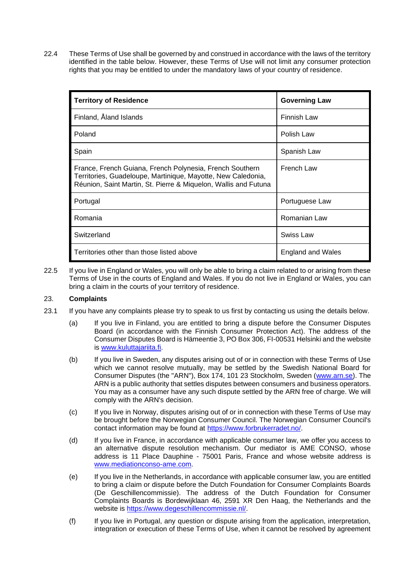22.4 These Terms of Use shall be governed by and construed in accordance with the laws of the territory identified in the table below. However, these Terms of Use will not limit any consumer protection rights that you may be entitled to under the mandatory laws of your country of residence.

| <b>Territory of Residence</b>                                                                                                                                                               | <b>Governing Law</b> |
|---------------------------------------------------------------------------------------------------------------------------------------------------------------------------------------------|----------------------|
| Finland, Åland Islands                                                                                                                                                                      | Finnish Law          |
| Poland                                                                                                                                                                                      | Polish Law           |
| Spain                                                                                                                                                                                       | Spanish Law          |
| France, French Guiana, French Polynesia, French Southern<br>Territories, Guadeloupe, Martinique, Mayotte, New Caledonia,<br>Réunion, Saint Martin, St. Pierre & Miquelon, Wallis and Futuna | French Law           |
| Portugal                                                                                                                                                                                    | Portuguese Law       |
| Romania                                                                                                                                                                                     | Romanian Law         |
| Switzerland                                                                                                                                                                                 | Swiss Law            |
| Territories other than those listed above                                                                                                                                                   | England and Wales    |

22.5 If you live in England or Wales, you will only be able to bring a claim related to or arising from these Terms of Use in the courts of England and Wales. If you do not live in England or Wales, you can bring a claim in the courts of your territory of residence.

## 23. **Complaints**

- 23.1 If you have any complaints please try to speak to us first by contacting us using the details below.
	- (a) If you live in Finland, you are entitled to bring a dispute before the Consumer Disputes Board (in accordance with the Finnish Consumer Protection Act). The address of the Consumer Disputes Board is Hämeentie 3, PO Box 306, FI-00531 Helsinki and the website is [www.kuluttajariita.fi.](http://www.kuluttajariita.fi/)
	- (b) If you live in Sweden, any disputes arising out of or in connection with these Terms of Use which we cannot resolve mutually, may be settled by the Swedish National Board for Consumer Disputes (the "ARN"), Box 174, 101 23 Stockholm, Sweden [\(www.arn.se\)](http://www.arn.se/). The ARN is a public authority that settles disputes between consumers and business operators. You may as a consumer have any such dispute settled by the ARN free of charge. We will comply with the ARN's decision.
	- (c) If you live in Norway, disputes arising out of or in connection with these Terms of Use may be brought before the Norwegian Consumer Council. The Norwegian Consumer Council's contact information may be found at [https://www.forbrukerradet.no/.](https://www.forbrukerradet.no/)
	- (d) If you live in France, in accordance with applicable consumer law, we offer you access to an alternative dispute resolution mechanism. Our mediator is AME CONSO, whose address is 11 Place Dauphine - 75001 Paris, France and whose website address is [www.mediationconso-ame.com.](http://www.mediationconso-ame.com/)
	- (e) If you live in the Netherlands, in accordance with applicable consumer law, you are entitled to bring a claim or dispute before the Dutch Foundation for Consumer Complaints Boards (De Geschillencommissie). The address of the Dutch Foundation for Consumer Complaints Boards is Bordewijklaan 46, 2591 XR Den Haag, the Netherlands and the website is [https://www.degeschillencommissie.nl/.](https://www.degeschillencommissie.nl/)
	- (f) If you live in Portugal, any question or dispute arising from the application, interpretation, integration or execution of these Terms of Use, when it cannot be resolved by agreement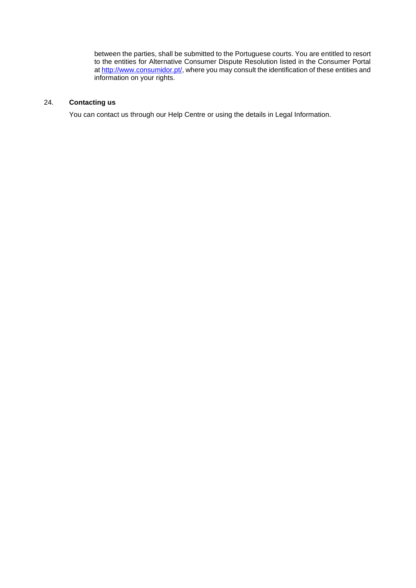between the parties, shall be submitted to the Portuguese courts. You are entitled to resort to the entities for Alternative Consumer Dispute Resolution listed in the Consumer Portal a[t http://www.consumidor.pt/,](http://www.consumidor.pt/) where you may consult the identification of these entities and information on your rights.

# 24. **Contacting us**

You can contact us through our Help Centre or using the details in Legal Information.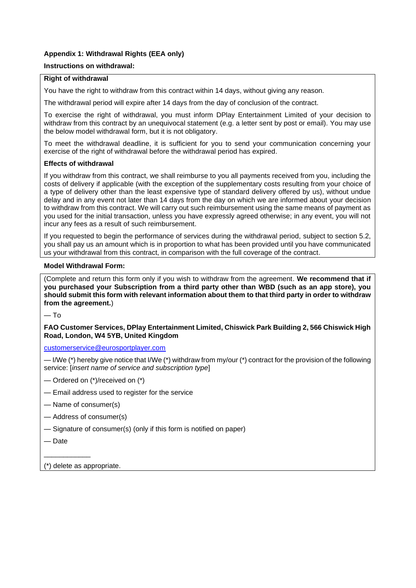# **Appendix 1: Withdrawal Rights (EEA only)**

# **Instructions on withdrawal:**

## **Right of withdrawal**

You have the right to withdraw from this contract within 14 days, without giving any reason.

The withdrawal period will expire after 14 days from the day of conclusion of the contract.

To exercise the right of withdrawal, you must inform DPlay Entertainment Limited of your decision to withdraw from this contract by an unequivocal statement (e.g. a letter sent by post or email). You may use the below model withdrawal form, but it is not obligatory.

To meet the withdrawal deadline, it is sufficient for you to send your communication concerning your exercise of the right of withdrawal before the withdrawal period has expired.

# **Effects of withdrawal**

If you withdraw from this contract, we shall reimburse to you all payments received from you, including the costs of delivery if applicable (with the exception of the supplementary costs resulting from your choice of a type of delivery other than the least expensive type of standard delivery offered by us), without undue delay and in any event not later than 14 days from the day on which we are informed about your decision to withdraw from this contract. We will carry out such reimbursement using the same means of payment as you used for the initial transaction, unless you have expressly agreed otherwise; in any event, you will not incur any fees as a result of such reimbursement.

If you requested to begin the performance of services during the withdrawal period, subject to section 5.2, you shall pay us an amount which is in proportion to what has been provided until you have communicated us your withdrawal from this contract, in comparison with the full coverage of the contract.

## **Model Withdrawal Form:**

(Complete and return this form only if you wish to withdraw from the agreement. **We recommend that if you purchased your Subscription from a third party other than WBD (such as an app store), you should submit this form with relevant information about them to that third party in order to withdraw from the agreement.**)

— To

**FAO Customer Services, DPlay Entertainment Limited, Chiswick Park Building 2, 566 Chiswick High Road, London, W4 5YB, United Kingdom** 

[customerservice@eurosportplayer.com](mailto:customerservice@eurosportplayer.com)

— I/We (\*) hereby give notice that I/We (\*) withdraw from my/our (\*) contract for the provision of the following service: [*insert name of service and subscription type*]

- Ordered on (\*)/received on (\*)
- Email address used to register for the service
- Name of consumer(s)
- Address of consumer(s)
- Signature of consumer(s) (only if this form is notified on paper)
- Date

 $\overline{\phantom{a}}$ 

(\*) delete as appropriate.